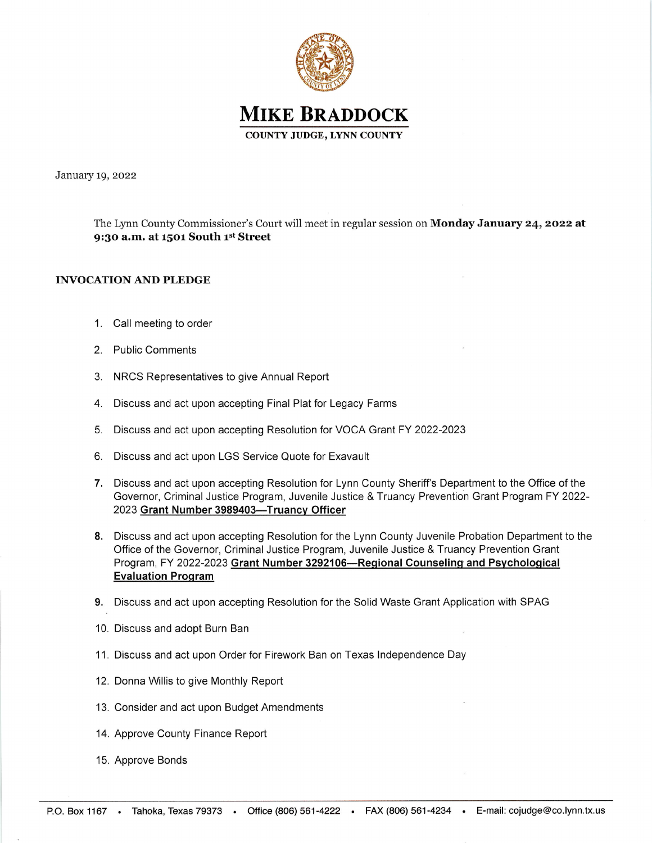

**MIKE BRADDOCK** COUNTY JUDGE, LYNN COUNTY

January 19, 2022

The Lynn County Commissioner's Court will meet in regular session on Monday January 24, 2022 at 9:30 a.m. at 1501 South  $1<sup>st</sup>$  Street

## INVOCATION AND PLEDGE

- 1. Call meeting to order
- 2. Public Comments
- 3. NRCS Representatives to give Annual Report
- 4. Discuss and act upon accepting Final Plat for Legacy Farms
- 5. Discuss and act upon accepting Resolution for VOCA Grant FY 2022-2023
- 6. Discuss and act upon LGS Service Quote for Exavault
- 7. Discuss and act upon accepting Resolution for Lynn County Sheriff's Department to the Office of the Governor, Criminal Justice Program, Juvenile Justice & Truancy Prevention Grant Program FY 2022- 2023 Grant Number 3989403-Truancy Officer
- 8. Discuss and act upon accepting Resolution for the Lynn County Juvenile Probation Department to the Office of the Governor, Criminal Justice Program, Juvenile Justice & Truancy Prevention Grant Program, FY 2022-2023 Grant Number 3292106-Regional Counseling and Psychological Evaluation Proqram
- 9. Discuss and act upon accepting Resolution for the Solid Waste Grant Application with SPAG
- '10. Discuss and adopt Burn Ban
- 11. Discuss and act upon Order for Firework Ban on Texas lndependence Day
- 12. Donna Willis to give Monthly Report
- 13. Consider and act upon Budget Amendments
- 14. Approve County Finance Report
- 15. Approve Bonds